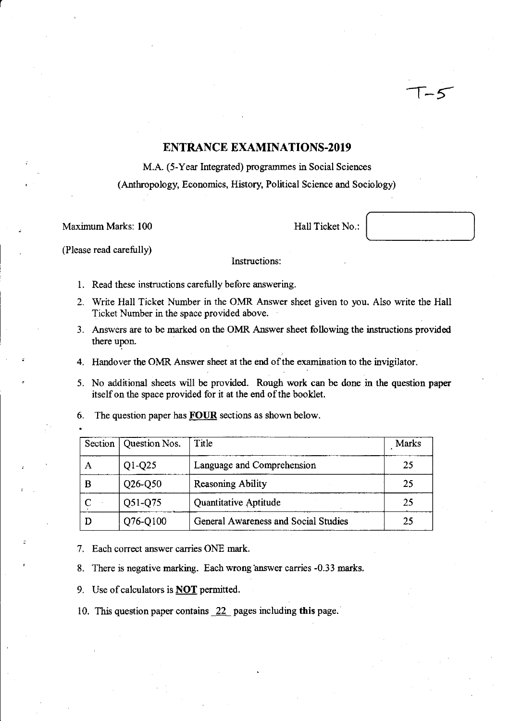# **ENTRANCE EXAMINATIONS-2019**

M.A. (5-Year Integrated) programmes in Social Sciences (Anthropology, Economics, History, Political Science and Sociology)

Maximum Marks: 100 Hall Ticket No.:

r

 $\overline{\phantom{a}}$ 

(Please read carefully)

## Instructions:

- I. Read these instructions carefully before answering.
- 2. Write Hall Ticket Number in the OMR Answer sheet given to you. Also write the Hall Ticket Number in the space provided above.
- 3. Answers are to be marked on the OMR Answer sheet following the instructions provided there upon.
- 4. Handover the OMR Answer sheet at the end of the examination to the invigilator.
- 5. No additional sheets will be provided. Rough work can be done in the question paper itself on the space provided for it at the end of the booklet.
- 6. The question paper has **FOUR** sections as shown below.

| Section | Question Nos. | Title                                | <b>Marks</b> |
|---------|---------------|--------------------------------------|--------------|
| А       | $Q1-Q25$      | Language and Comprehension           | 25           |
| В       | $Q26-Q50$     | <b>Reasoning Ability</b>             | 25           |
|         | Q51-Q75       | Quantitative Aptitude                | 25           |
|         | Q76-Q100      | General Awareness and Social Studies | 25           |

7. Each correct answer carries ONE mark.

- 8. There is negative marking. Each wrong answer carries -0.33 marks.
- 9. Use of calculators is **NOT** permitted.
- 10. This question paper contains \_22 pages including **this** page.·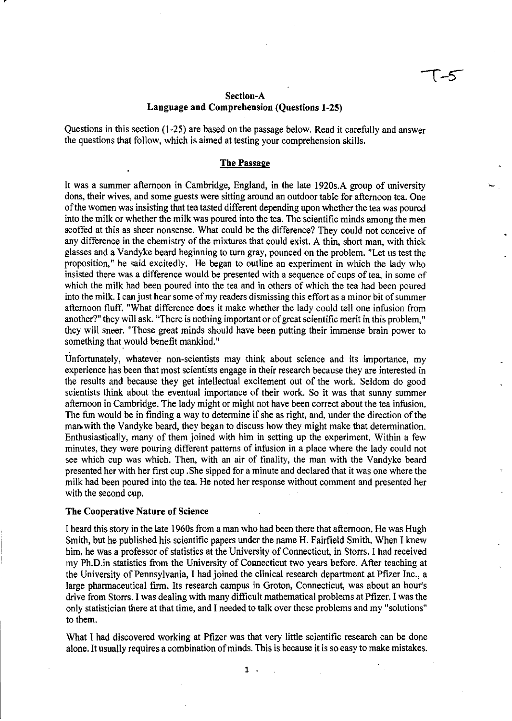### **Section-A Langnage and Comprehension (Questions 1-25)**

Questions in this section (1-25) are based on the passage below. Read it carefully and answer the questions that follow, which is aimed at testing your comprehension skills.

#### **The Passage**

It was a summer afternoon in Cambridge, England, in the late 1920s.A group of university dons, their wives, and some guests were sitting around an outdoor table for afternoon tea. One of the women was insisting that tea tasted different depending upon whether the tea was poured into the milk or whether the milk was poured into the tea. The scientific minds among the men scoffed at this as sheer nonsense. What could be the difference? They could not conceive of any difference in the chemistry of the mixtures that could exist. A thin, short man, with thick glasses and a Vandyke beard beginning to tum gray, pounced on the problem. "Let us test the proposition," he said excitedly. He began to outline an experiment in which the lady who insisted there was a difference would be presented with a sequence of cups of tea, in some of which the milk had been poured into the tea and in others of which the tea had been poured into the milk. I can just hear some of my readers dismissing this effort as a minor bit of summer afternoon fluff. "What difference does it make whether the lady could tell one infusion from another?" they will ask. "There is nothing important or of great scientific merit in this problem," they will sneer. "These great minds should have been putting their immense brain power to something that would benefit mankind."

Unfortunately, whatever non-scientists may think about science and its importance, my experience has been that most scientists engage in their research because they are interested in the results and because they get intellectual excitement out of the work. Seldom do good scientists think about the eventual importance of their work. So it was that sunny summer afternoon in Cambridge. The lady might or might not have been correct about the tea infusion. The fun would be in finding a way to determine if she as right, and, under the direction of the man. with the Vandyke beard, they began to discuss how they might make that determination. Enthusiastically, many of them joined with him in setting up the experiment. Within a few minutes, they were pouring different patterns of infusion in a place where the lady could not see which cup was which. Then, with an air of finality, the man with the Vandyke beard presented her with her first cup. She sipped for a minute and declared that it was one where the milk had been poured into the tea. He noted her response without comment and presented her with the second cup.

#### **The Cooperative Nature of Science**

I heard this story in the late 1960s from a man who had been there that afternoon. He was Hugh Smith, but he published his scientific papers under the name H. Fairfield Smith. When I knew him, he was a professor of statistics at the University of Connecticut, in Storrs. I had received my Ph.D.in statistics from the University of Connecticut two years before. After teaching at the University of Pennsylvania, I had joined the clinical research department at Pfizer Inc., a large pharmaceutical firm. Its research campus in Groton, Connecticut, was about an hour's drive from Storrs. I was dealing with many difficult mathematical problems at Pfizer. I was the only statistician there at that time, and I needed to talk over these problems and my "solutions" to them.

What I had discovered working at Pfizer was that very little scientific research can be done alone. It usually requires a combination of minds. This is because it is so easy to make mistakes.

1 .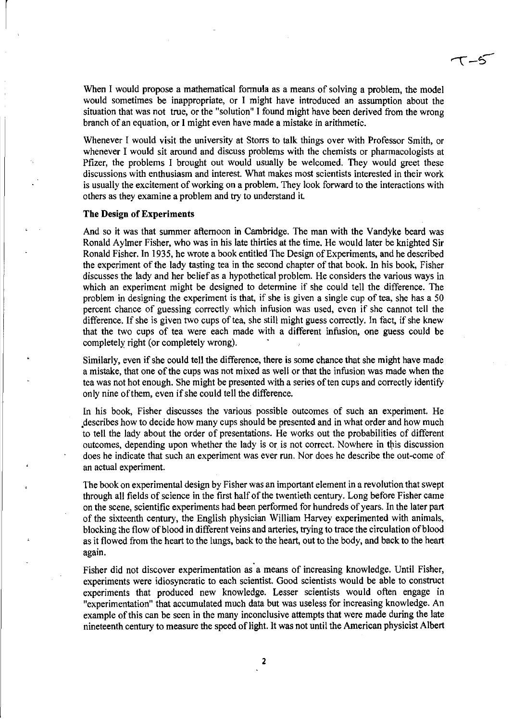When I would propose a mathematical formula as a means of solving a problem, the model would sometimes be inappropriate, or I might have introduced an assumption about the situation that was not true, or the "solution" I found might have been derived from the wrong branch of an equation, or I might even have made a mistake in arithmetic.

 $\tau$ -5

Whenever I would visit the university at Storrs to talk things over with Professor Smith, or whenever I would sit around and discuss problems with the chemists or pharmacologists at Pfizer, the problems I brought out would usually be welcomed. They would greet these discussions with enthusiasm and interest. What makes most scientists interested in their work is usually the excitement of working on a problem. They look forward to the interactions with others as they examine a problem and try to understand it

#### The Design of Experiments

And so it was that summer afternoon in Cambridge. The man with the Vandyke beard was Ronald Aylmer Fisher, who was in his late thirties at the time. He would later be knighted Sir Ronald Fisher. In 1935, he wrote a book entitled The Design of Experiments, and he described the experiment of the lady tasting tea in the second chapter of that book. In his book, Fisher discusses the lady and her belief as a hypothetical problem. He considers the various ways in which an experiment might be designed to determine if she could tell the difference. The problem in designing the experiment is that, if she is given a single cup of tea, she has a 50 percent chance of guessing correctly which infusion was used, even if she cannot tell the difference. If she is given two cups of tea, she still might guess correctly. In fact, if she knew that the two cups of tea were each made with a different infusion, one guess could be completely right (or completely wrong).

Similarly, even if she could tell the difference, there is some chance that she might have made a mistake, that one of the cups was not mixed as well or that the infusion was made when the tea was not hot enough. She might be presented with a series of ten cups and correctly identify only nine of them, even if she could tell the difference.

In his book, Fisher discusses the various possible outcomes of such an experiment. He .describes how to decide how many cups should be presented and in what order and how much to tell the lady about the order of presentations. He works out the probabilities of different outcomes, depending upon whether the lady is or is not correct. Nowhere in this discussion does he indicate that such an experiment was ever run. Nor does he describe the out-come of an actual experiment.

The book on experimental design by Fisher was an important element in a revolution that swept through all fields of science in the first half of the twentieth century. Long before Fisher came on the scene, scientific experiments had been performed for hundreds of years. In the later part of the sixteenth century, the English physician William Harvey experimented with animals, blocking the flow of blood in different veins and arteries, trying to trace the circulation of blood as it flowed from the heart to the lungs, back to the heart, out to the body, and back to the heart again.

Fisher did not discover experimentation as a means of increasing knowledge. Until Fisher, experiments were idiosyncratic to each scientist. Good scientists would be able to construct experiments that produced new knowledge. Lesser scientists would often engage in "experimentation" that accumulated much data but was useless for increasing knowledge. An example of this can be seen in the many inconclusive attempts that were made during the late nineteenth century to measure the speed of light. It was not until the American physicist Albert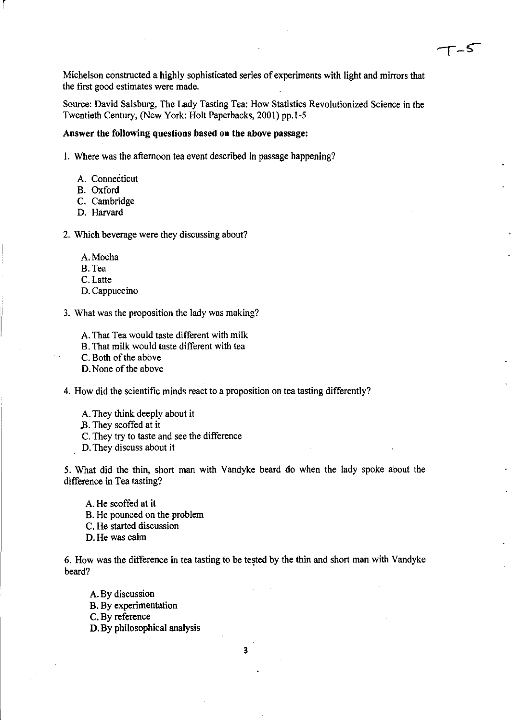Michelson constructed a highly sophisticated series of experiments with light and mirrors that the first good estimates were made.

Source: David Salsburg, The Lady Tasting Tea: How Statistics Revolutionized Science in the Twentieth Century, (New York: Holt Paperbacks, 2001) pp.I-5

### Answer the following questions based on the above passage:

1. Where was the afternoon tea event described in passage happening?

- A. Connecticut
- B. Oxford

r

- C. Cambridge
- D. Harvard

2. Which beverage were they discussing about?

- A.Mocha
- B.Tea
- C.Latte
- D. Cappuccino

3. What was the proposition the lady was making?

- A. That Tea would taste different with milk
- B. That milk would taste different with tea

C. Both of the above

D. None of the above

4. How did the scientific minds react to a proposition on tea tasting differently?

A. They think deeply about it

- B. They scoffed at it
- C. They try to taste and see the difference

D. They discuss about it

5. What did the thin, short man with Vandyke beard do when the lady spoke about the difference in Tea tasting?

A. He scoffed at it B. He pounced on the problem C. He started discussion D. He was calm

6. How was the difference in tea tasting to be tested by the thin and short man with Vandyke beard?

A. By discussion B. By experimentation C. By reference D. By philosophical analysis

3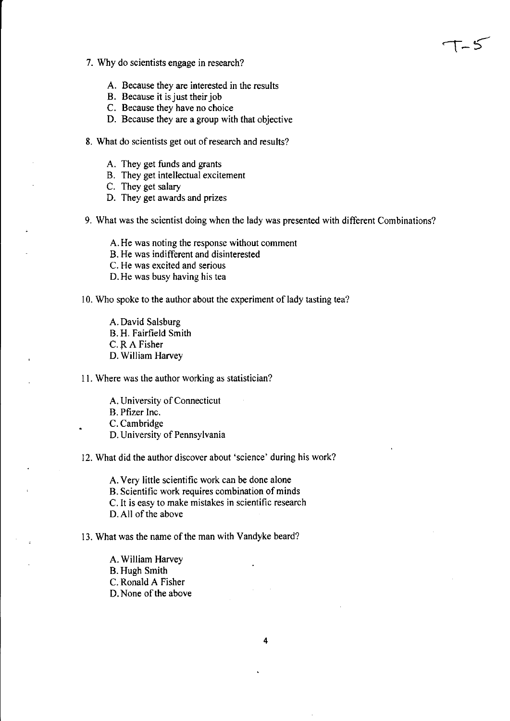- 7. Why do scientists engage in research?
	- A. Because they are interested in the results
	- B. Because it is just their job
	- C. Because they have no choice
	- D. Because they are a group with that objective
- 8. What do scientists get out of research and results?
	- A. They get funds and grants
	- B. They get intellectual excitement
	- C. They get salary
	- D. They get awards and prizes
- 9. What was the scientist doing when the lady was presented with different Combinations?

ک – آ

- A. He was noting the response without comment
- B. He was indifferent and disinterested
- C. He was excited and serious
- D. He was busy having his tea

10. Who spoke to the author about the experiment of lady tasting tea?

- A. David Salsburg
- B. H. Fairfield Smith
- C. RA Fisher
- D. William Harvey

II. Where was the author working as statistician?

- A. University of Connecticut
- B. Pfizer Inc.

C. Cambridge

- D. University of Pennsylvania
- 12. What did the author discover about 'science' during his work?

A. Very little scientific work can be done alone

- B. Scientific work requires combination of minds
- C. It is easy to make mistakes in scientific research
- D. All of the above

13. What was the name of the man with Vandyke beard?

- A. William Harvey
- B. Hugh Smith
- C. Ronald A Fisher
- D. None of the above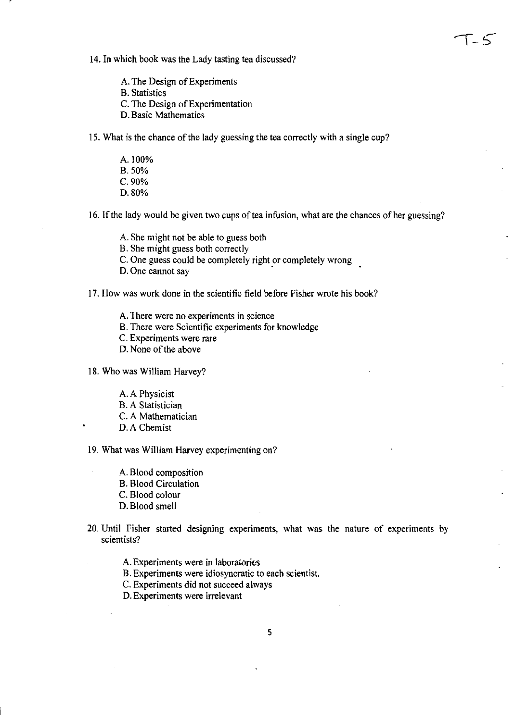14. In which book was the Lady tasting tea discussed?

A. The Design of Experiments B. Statistics C. The Design of Experimentation D. Basic Mathematics

IS. What is the chance of the lady guessing the tea correctly with a single cup?

A.IOO% B.50% C.90% D.80%

16. If the lady would be given two cups of tea infusion, what are the chances of her guessing?

しと

- A. She might not be able to guess both
- B. She might guess both correctly

C. One guess could be completely right or completely wrong

D. One cannot say

17. How was work done in the scientific field before Fisher wrote his book?

- A. There were no experiments in science
- B. There were Scientific experiments for knowledge
- C. Experiments were rare
- D. None of the above

18. Who was William Harvey?

- A. A Physicist
- B. A Statistician
- C. A Mathematician
- D.A Chemist

19. What was William Harvey experimenting on?

- A. Blood composition B. Blood Circulation C. Blood colour D. Blood smell
- 20. Until Fisher started designing experiments, what was the nature of experiments by scientists?
	- A. Experiments were in laboratories
	- B. Experiments were idiosyncratic to each scientist.
	- C. Experiments did not succeed always
	- D. Experiments were irrelevant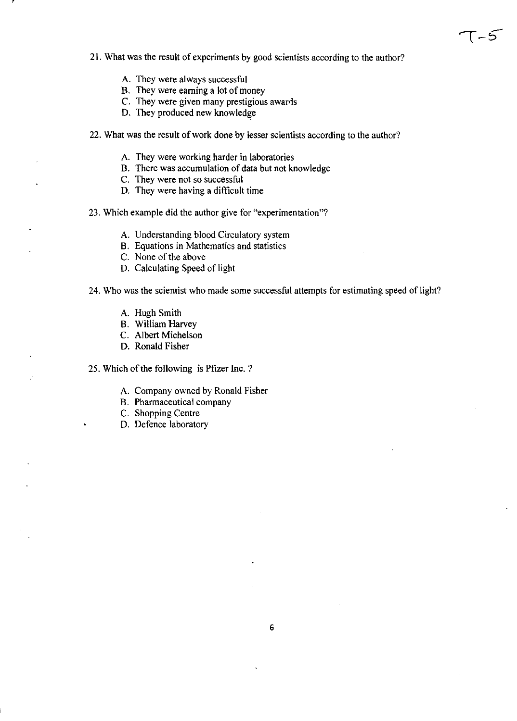21. What was the result of experiments by good scientists according to the author?

 $T-5$ 

- A. They were always successful
- B. They were earning a lot of money
- C. They were given many prestigious awards
- D. They produced new knowledge
- 22. What was the result of work done by lesser scientists according to the author?
	- A. They were working harder in laboratories
	- B. There was accumulation of data but not knowledge
	- C. They were not so successful
	- D. They were having a difficult time
- 23. Which example did the author give for "experimentation"?
	- A. Understanding blood Circulatory system
	- B. Equations in Mathematics and statistics
	- C. None of the above
	- D. Calculating Speed of light
- 24. Who was the scientist who made some successful attempts for estimating speed of light?
	- A. Hugh Smith
	- B. William Harvey
	- C. Albert Michelson
	- D. Ronald Fisher
- 25. Which of the following is Pfizer Inc. ?
	- A. Company owned by Ronald Fisher
	- B. Pharmaceutical company
	- C. Shopping Centre
	- D. Defence laboratory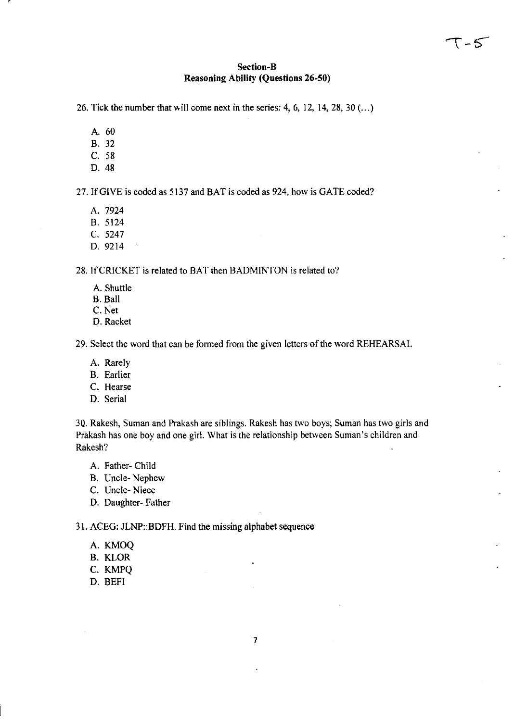## Section-B Reasoning Ability (Questions 26-50)

26. Tick the number that will come next in the series: 4, 6, 12, 14, 28,  $30$  (...)

- A. 60
- B. 32
- C. 58
- D.48

27. If GIVE is coded as 5137 and BAT is coded as 924, how is GATE coded?

- A. 7924
- B. 5124
- C. 5247
- D. 9214

28. If CRICKET is related to BAT then BADMINTON is related to?

- A. Shuttle
- B. Ball
- C. Net
- D. Racket

29. Select the word that can be formed from the given letters of the word REHEARSAL

- A. Rarely
- B. Earlier
- C. Hearse
- D. Serial

30. Rakesh, Suman and Prakash are siblings. Rakesh has two boys; Suman has two girls and Prakash has one boy and one girl. What is the relationship between Suman's children and Rakesh?

- A. Father- Child
- B. Uncle- Nephew
- C. Uncle-Niece
- D. Daughter- Father

31. ACEG: JLNP::BDFH. Find the missing alphabet sequence

- A. KMOQ
- B. KLOR
- C. KMPQ
- D. BEFI

7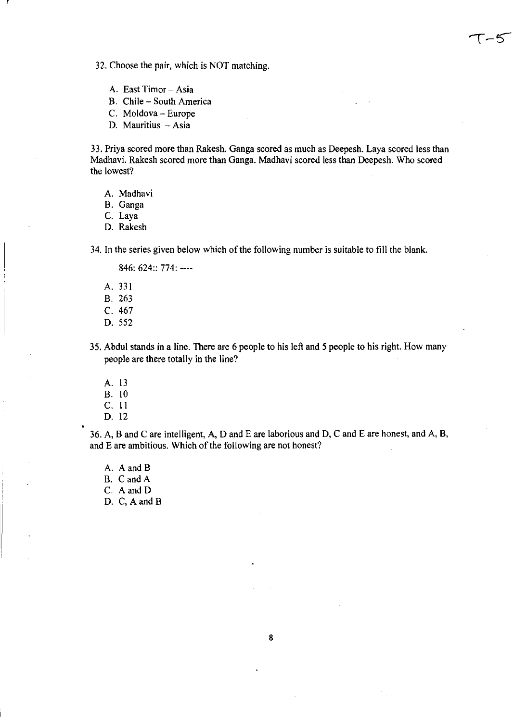32. Choose the pair, which is NOT matching.

- A. East Timor Asia
- B. Chile South America
- C. Moldova Europe
- D. Mauritius  $-$  Asia

33. Priya scored more than Rakesh. Ganga scored as much as Deepesh. Laya scored less than Madhavi. Rakesh scored more than Ganga. Madhavi scored less than Deepesh. Who scored the lowest?

-5

A. Madhavi

B. Ganga

r

C. Laya

D. Rakesh

34. In the series given below which of the following number is suitable to fill the blank.

846: 624:: 774: ----

- A. 331 B. 263 C. 467 D. 552
- 35. Abdul stands in a line. There are 6 people to his left and 5 people to his right. How many
- people are there totally in the line?
	- A. 13
	- B. 10
	- C. **II**
	- D. 12

36. A, B and C are intelligent, A, D and E are laborious and D, C and E are honest, and A, B, and E are ambitious. Which of the following are not honest?

A. A and B B. CandA

C. A and D

D. C, A and B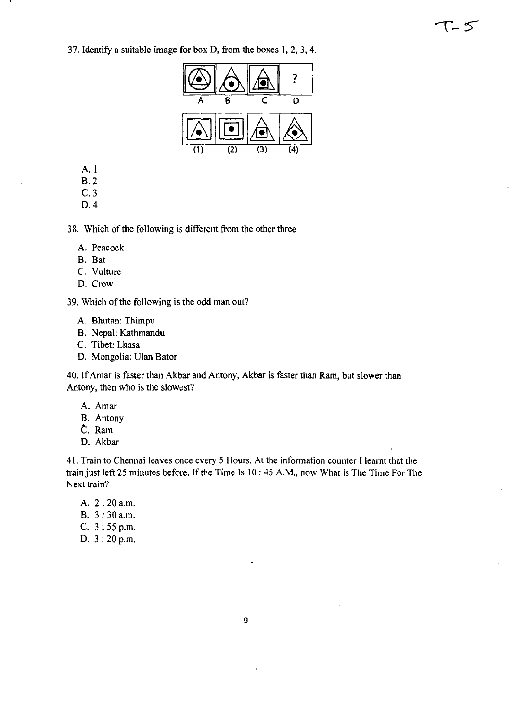37. Identify a suitable image for box D, from the boxes 1,2,3,4.



T-5

A. I

l,

- B.2
- C.3
- D.4

38. Which of the following is different from the other three

- A. Peacock
- B. Bat
- C. Vulture
- D. Crow

39. Which of the following is the odd man out?

- A. Bhutan: Thimpu
- B. Nepal: Kathmandu
- C. Tibet: Lhasa
- D. Mongolia: Ulan Bator

40. If Amar is faster than Akbar and Antony, Akbar is faster than Ram, but slower than Antony, then who is the slowest?

- A. Amar
- B. Antony
- *t.* Ram
- D. Akbar

41. Train to Chennai leaves once every 5 Hours. At the information counter I learnt that the train just left 25 minutes before. If the Time Is 10: 45 A.M., now What is The Time For The Next train?

- A. 2: 20 a.m.
- B. 3: 30a.m.
- C. 3: 55 p.m.
- D. 3: 20 p.m.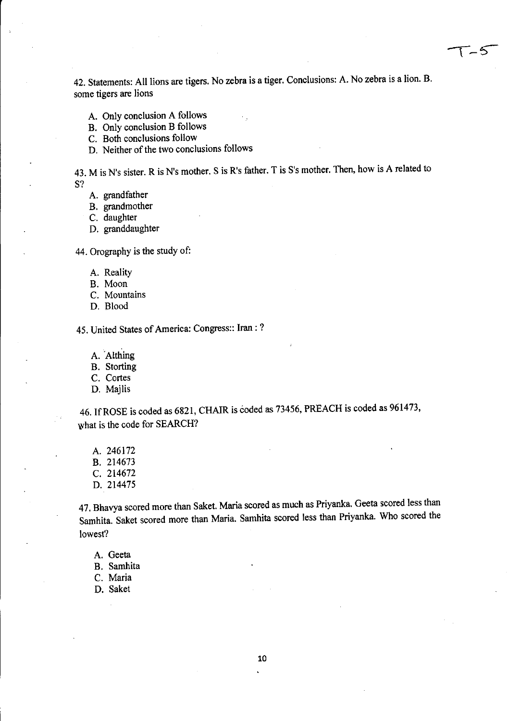42. Statements: All lions are tigers. No zebra is a tiger. Conclusions: A. No zebra is a lion. B. some tigers are lions

 $\sqrt{5}$ 

A. Only conclusion A follows

B. Only conclusion B follows

C. Both conclusions follow

D. Neither of the two conclusions follows

43. M is N's sister. R is N's mother. S is R's father. T is S's mother. Then, how is A related to S?

A. grandfather

B. grandmother

C. daughter

D. granddaughter

44. Orography is the study of:

A. Reality

- B. Moon
- C. Mountains
- D. Blood

45. United States of America: Congress:: Iran : ?

A. Althing

B. Storting

C. Cortes

D. Majlis

46. If ROSE is coded as 6821, CHAIR is coded as 73456, PREACH is coded as 961473, what is the code for SEARCH?

A. 246172 B. 214673 C. 214672 D. 214475

47. Bhavya scored more than Saket. Maria scored as much as Priyanka. Geeta scored less than Samhita. Saket scored more than Maria. Samhita scored less than Priyanka. Who scored the lowest?

A. Geeta

B. Samhita

C. Maria

D. Saket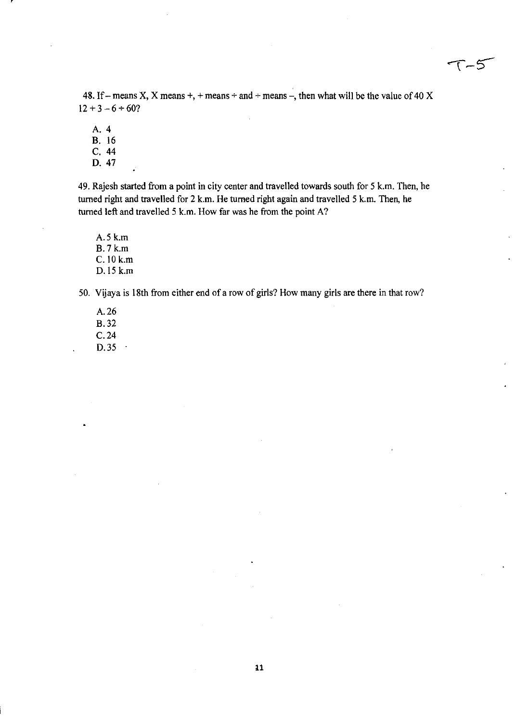$T - 5$ 

48. If – means X, X means +, + means + and + means –, then what will be the value of 40 X  $12 + 3 - 6 \div 60?$ 

A. 4

B. 16 C. 44

D. 47

49. Rajesh started from a point in city center and travelled towards south for 5 k.m. Then, he turned right and travelled for 2 k.m. He turned right again and travelled 5 k.m. Then, he turned left and travelled 5 k.m. How far was he from the point A?

A.5k.m B.7k.m C. 10 k.m 0.15 k.m

50. Vijaya is 18th from either end of a row of girls? How many girls are there in that row?

A. 26 B.32 C.24 D.35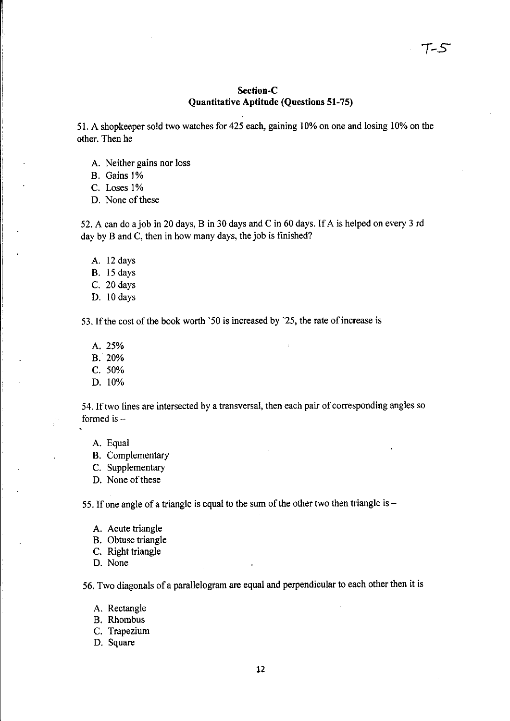## Section-C Quantitative Aptitude (Questions 51-75)

51. A shopkeeper sold two watches for 425 each, gaining 10% on one and losing 10% on the other. Then he

- A. Neither gains nor loss
- B. Gains 1%

i.

- C. Loses 1%
- D. None of these

52. A can do a job in 20 days, B in 30 days and C in 60 days. If A is helped on every 3 rd day by B and C, then in how many days, the job is finished?

- A. 12 days
- B. 15 days
- C. 20 days
- D. 10 days

53. If the cost of the book worth '50 is increased by '25, the rate of increase is

- A.25%
- B.20%
- C.50%
- D. 10%

54. Iftwo lines are intersected by a transversal, then each pair of corresponding angles so formed is  $-$ 

- A. Equal
- B. Complementary
- C. Supplementary
- D. None of these

55. If one angle of a triangle is equal to the sum of the other two then triangle is  $-$ 

- A. Acute triangle
- B. Obtuse triangle
- C. Right triangle
- D. None

56. Two diagonals of a parallelogram are equal and perpendicular to each other then it is

- A. Rectangle
- B. Rhombus
- C. Trapezium
- D. Square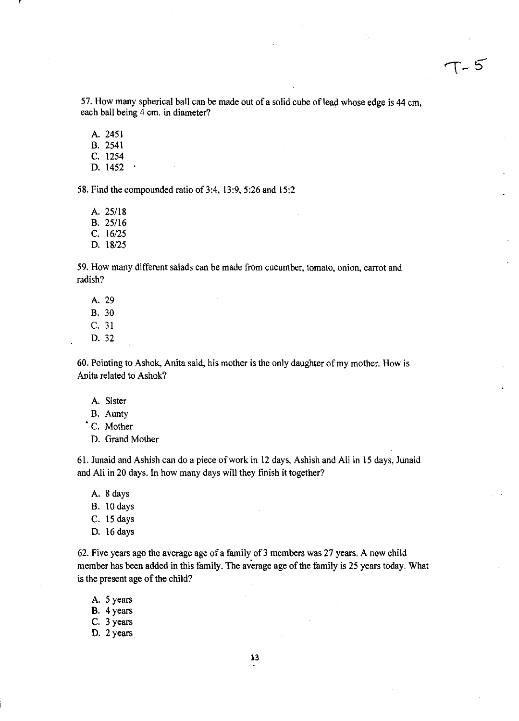57. How many spherical ball can be made out of a solid cube of lead whose edge is 44 cm, each ball being 4 cm. in diameter?

A. 2451 B. 2541 C. 1254 D. 1452

58. Find the compounded ratio of 3:4, 13:9, 5:26 and 15:2

A. *25/18*  B. *25/16*  C. *16/25*  D. *18/25* 

59. How many different salads can be made from cucumber, tomato, onion, carrot and radish?

- A. 29
- B. 30
- C. 31
- D.32

60. Pointing to Ashok, Anita said, his mother is the only daughter of my mother. How is Anita related to Ashok?

- A. Sister
- B. Aunty

• C. Mother

D. Grand Mother

61. Junaid and Ashish can do a piece of work in 12 days, Ashish and Ali in 15 days, Junaid and Ali in 20 days. In how many days will they fmish it together?

- A. 8 days
- B. 10days
- C. 15 days
- D. 16 days

62. Five years ago the average age of a family of 3 members was 27 years. A new child member has been added in this family. The average age of the family is 25 years today. What is the present age of the child?

- A. 5 years
- B. 4 years
- C. 3 years
- D. 2 years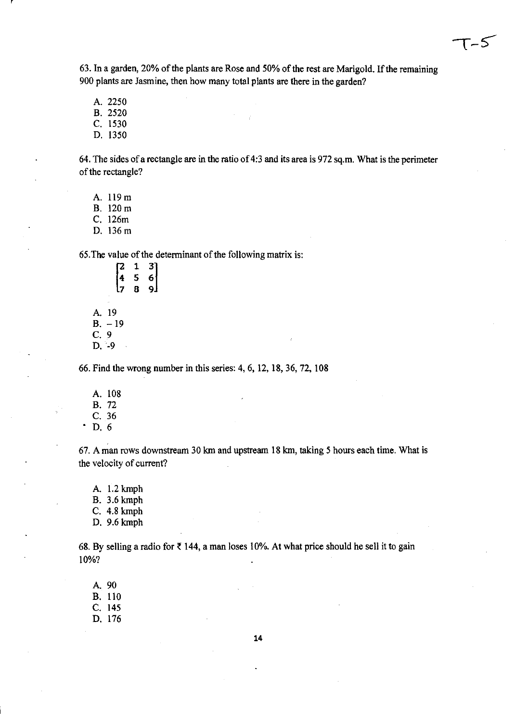$T - 5$ 

63. In a garden, 20% of the plants are Rose and 50% of the rest are Marigold. If the remaining 900 plants are Jasmine, then how many total plants are there in the garden?

A. 2250

B. 2520

C. 1530

D. 1350

64. The sides of a rectangle are in the ratio of 4:3 and its area is 972 sq.m. What is the perimeter of the rectangle?

A. 119 m

B. 120m

C. 126m

D. 136m

65. The value of the determinant of the following matrix is:

|             | 2                              | $\mathbf{1}$ | 3 |
|-------------|--------------------------------|--------------|---|
|             |                                | 5            | 6 |
|             |                                | 8            | q |
|             |                                |              |   |
| A.          | 19                             |              |   |
| <b>B.</b>   | 19<br>$\overline{\phantom{0}}$ |              |   |
| C,          | 9                              |              |   |
| $\mathbf D$ |                                |              |   |

66. Find the wrong number in this series: 4, 6, 12, IS, 36, 72, lOS

A. lOS B.72 C. 36  $\cdot$  D. 6

67. A man rows downstream 30 km and upstream IS km, taking 5 hours each time. What is the velocity of current?

A. 1.2 kmph B. 3.6 kmph C. 4.S kmph

D. 9.6 kmph

68. By selling a radio for  $\bar{\tau}$  144, a man loses 10%. At what price should he sell it to gain 10%?

A. 90 B. 110 C. 145 D. 176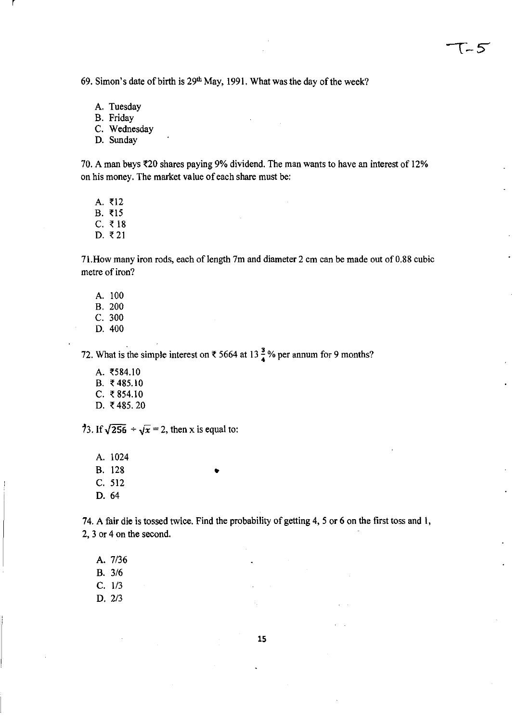69. Simon's date of birth is 29<sup>th</sup> May, 1991. What was the day of the week?

A. Tuesday

r

B. Friday

C. Wednesday

D. Sunday

70. A man buys  $\text{\textless}20$  shares paying 9% dividend. The man wants to have an interest of 12% on his money. The market value of each share must be:

A.  $\bar{z}$ 12

 $B. ₹15$  $C. \t318$ 

D.  $\bar{z}$  21

71. How many iron rods, each of length 7m and diameter 2 cm can be made out of 0.88 cubic metre of iron?

A. 100 B. 200 C. 300 D.400

72. What is the simple interest on  $\bar{\tau}$  5664 at 13  $\frac{3}{4}$ % per annum for 9 months?

•

 $A. ₹584.10$ B. ₹485.10  $C.$  ₹ 854.10 D. ₹485.20

73. If  $\sqrt{256} \div \sqrt{x} = 2$ , then x is equal to:

A. 1024 B. 128 C. 512 D.64

74. A fair die is tossed twice. Find the probability of getting 4, 5 or 6 on the first toss and I, 2, 3 or 4 on the second.

A. 7/36

B. 3/6

C. 1/3

D. 2/3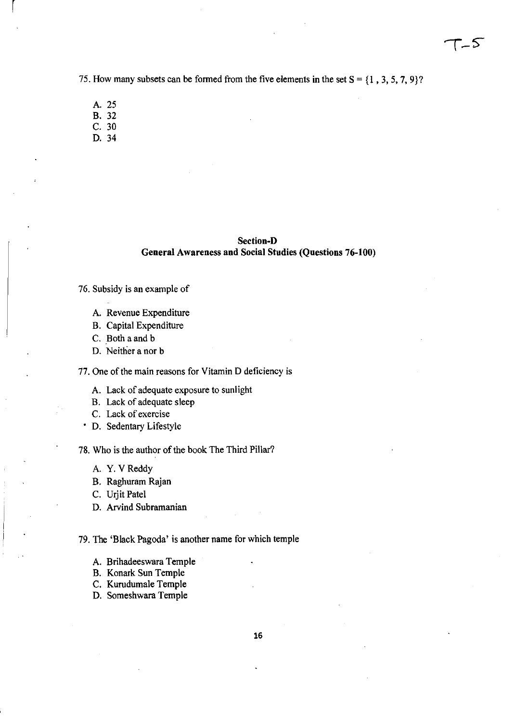75. How many subsets can be formed from the five elements in the set  $S = \{1, 3, 5, 7, 9\}$ ?

A.25 B. 32

r

- C. 30
- D. 34

# Section-D General Awareness and Social Studies (Questions 76-100)

- 76. Subsidy is an example of
	- A. Revenue Expenditure
	- B. Capital Expenditure
	- C. Both a and b
	- D. Neither a nor b

77. One of the main reasons for Vitamin D deficiency is

- A. Lack of adequate exposure to sunlight
- B. Lack of adequate sleep
- C. Lack of exercise
- D. Sedentary Lifestyle

78. Who is the author of the book The Third Pillar?

- A. Y. V Reddy
- B. Raghuram Rajan
- C. Urjit Patel
- D. Arvind Subramanian

79. The 'Black Pagoda' is another name for which temple

- A. Brihadeeswara Temple
- B. Konark Sun Temple
- C. Kurudumale Temple
- D. Someshwara Temple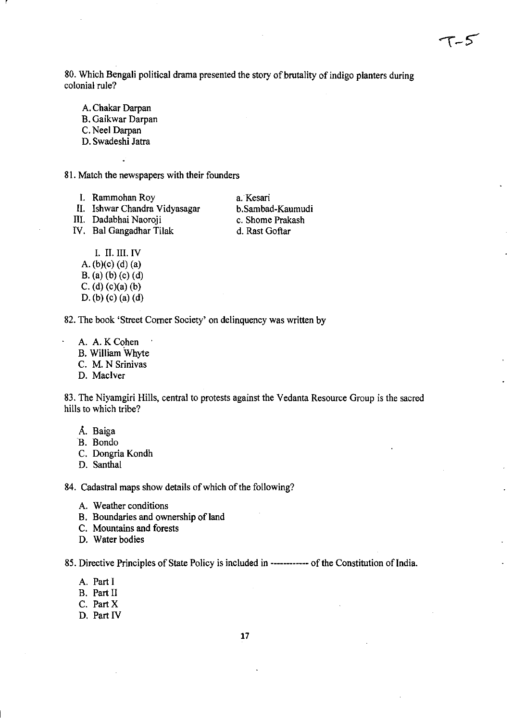80. Which Bengali political drama presented the story of brutality of indigo planters during colonial rule?

A. Chakar Darpan B. Gaikwar Darpan C. Neel Darpan

r

D. Swadeshi Jatra

81. Match the newspapers with their founders

I. Rammohan Roy

II. Ishwar Chandra Vidyasagar

III. Dadabhai Naoroji IV. Bal Gangadhar Tilak

a Kesari b.Sambad-Kaumudi c. Shome Prakash d. Rast Goftar

I. II. III. IV A. (b)(c) (d) (a) B. (a) (b) (c) (d) C. (d)  $(c)(a)$  (b) D. (b) (c) (a) (d)

82. The book 'Street Comer Society' on delinquency was written by

- A. A.KCohen
- B. William Whyte

C. M. N Srinivas

D. MacIver

83. The Niyamgiri Hills, central to protests against the Vedanta Resource Group is the sacred hills to which tribe?

- A. Baiga
- B. Bondo
- C. Dongria Kondh
- D. Santhal

84. Cadastral maps show details of which of the following?

- A. Weather conditions
- B. Boundaries and ownership of land
- C. Mountains and forests
- D. Water bodies

85. Directive Principles of State Policy is included in ------------- of the Constitution of India.

- A. Part I
- B. Part II
- C. PartX
- D. Part IV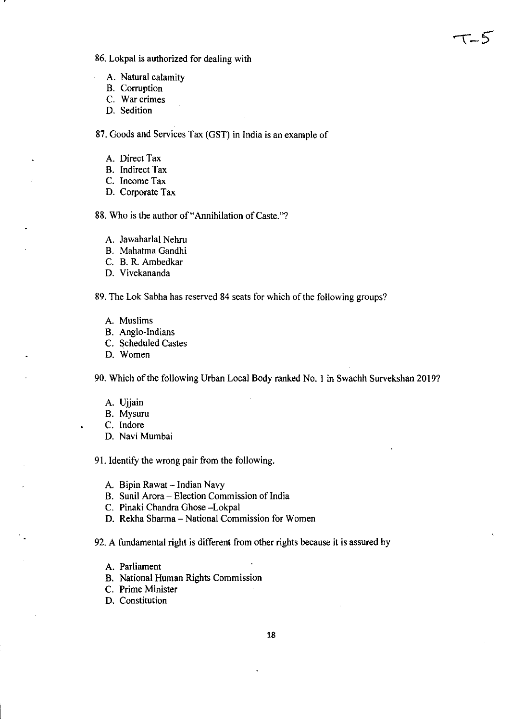86. Lokpal is authorized for dealing with

- A. Natural calamity
- B. Corruption
- C. War crimes
- D. Sedition

87. Goods and Services Tax (GST) in India is an example of

- A. Direct Tax
- B. Indirect Tax
- C. Income Tax
- D. Corporate Tax

88. Who is the author of "Annihilation of Caste."?

- A. lawaharlal Nehru
- B. Mahatma Gandhi
- C. B. R. Ambedkar
- D. Vivekananda

89. The Lok Sabha has reserved 84 seats for which of the following groups?

- A. Muslims
- B. Anglo-Indians
- C. Scheduled Castes
- D. Women

90. Which of the following Urban Local Body ranked No.1 in Swachh Survekshan 2019?

- A. Ujjain
- B. Mysuru
- C. Indore
- D. Navi Mumbai

91. Identify the wrong pair from the following.

- A. Bipin Rawat Indian Navy
- B. Sunil Arora Election Commission of India
- C. Pinaki Chandra Ghose -Lokpal
- D. Rekha Sharma National Commission for Women

92. A fundamental right is different from other rights because it is assured by

- A. Parliament
- B. National Human Rights Commission
- C. Prime Minister
- D. Constitution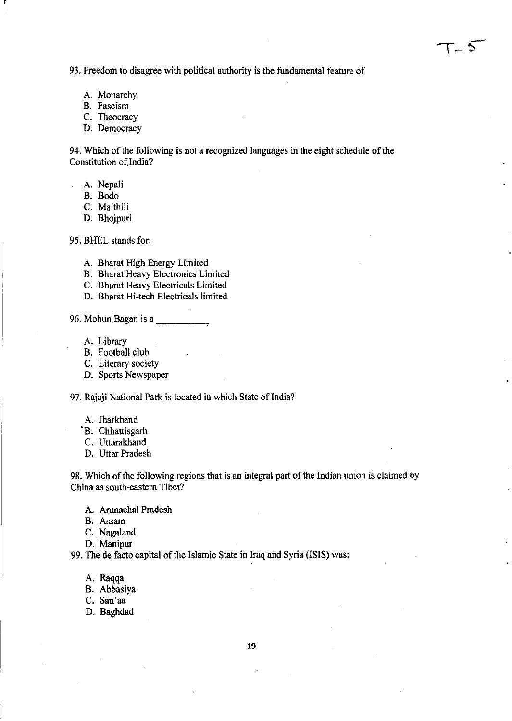93. Freedom to disagree with political authority is the fundamental feature of

- A. Monarchy
- B. Fascism

r

- C. Theocracy
- D. Democracy

94. Which of the following is not a recognized languages in the eight schedule of the Constitution of.India?

- A. Nepali
	- B. Bodo
	- C. Maithili
	- D. Bhojpuri

95. BHEL stands for:

- A. Bharat High Energy Limited
- B. Bharat Heavy Electronics Limited
- C. Bharat Heavy Electricals Limited
- D. Bharat Hi-tech Electricals limited
- 96. Mohun Bagan is a
	- A. Library
	- B. Football club
	- C. Literary society
	- D. Sports Newspaper

97. Rajaji National Park is located in which State of India?

- A. Jharkhand
- °B. Chhattisgarh
- C. Uttarakhand
- D. Uttar Pradesh

98. Which of the following regions that is an integral part of the Indian union is claimed by China as south-eastern Tibet?

- A. Arunachal Pradesh
- B. Assam
- C. Nagaland
- D. Manipur

99. The de facto capital of the Islamic State in Iraq and Syria (ISIS) was:

- A. Raqqa
- B. Abbasiya
- C. San'aa
- D. Baghdad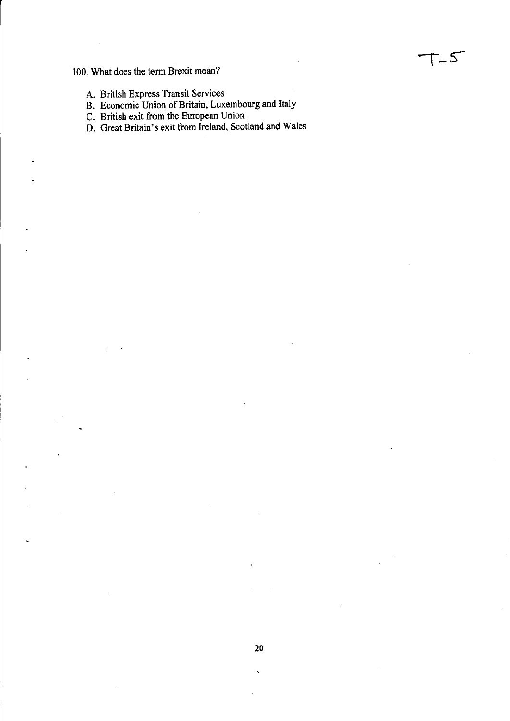# 100. What does the term Brexit mean?

- A. British Express Transit Services
- B. Economic Union of Britain, Luxembourg and Italy
- C. British exit from the European Union
- D. Great Britain's exit from Ireland, Scotland and Wales

**-r\_S-**